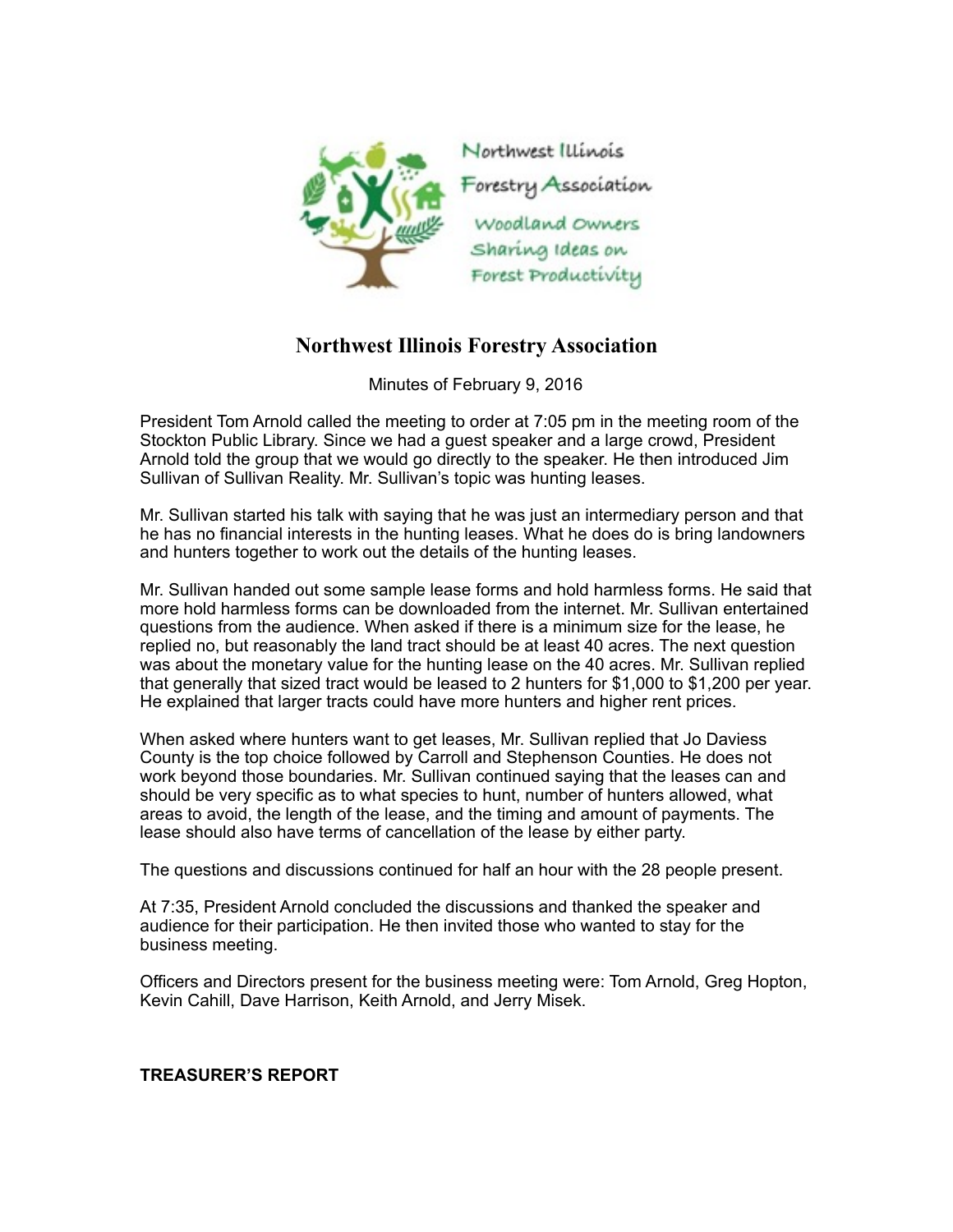

## **Northwest Illinois Forestry Association**

Minutes of February 9, 2016

President Tom Arnold called the meeting to order at 7:05 pm in the meeting room of the Stockton Public Library. Since we had a guest speaker and a large crowd, President Arnold told the group that we would go directly to the speaker. He then introduced Jim Sullivan of Sullivan Reality. Mr. Sullivan's topic was hunting leases.

Mr. Sullivan started his talk with saying that he was just an intermediary person and that he has no financial interests in the hunting leases. What he does do is bring landowners and hunters together to work out the details of the hunting leases.

Mr. Sullivan handed out some sample lease forms and hold harmless forms. He said that more hold harmless forms can be downloaded from the internet. Mr. Sullivan entertained questions from the audience. When asked if there is a minimum size for the lease, he replied no, but reasonably the land tract should be at least 40 acres. The next question was about the monetary value for the hunting lease on the 40 acres. Mr. Sullivan replied that generally that sized tract would be leased to 2 hunters for \$1,000 to \$1,200 per year. He explained that larger tracts could have more hunters and higher rent prices.

When asked where hunters want to get leases, Mr. Sullivan replied that Jo Daviess County is the top choice followed by Carroll and Stephenson Counties. He does not work beyond those boundaries. Mr. Sullivan continued saying that the leases can and should be very specific as to what species to hunt, number of hunters allowed, what areas to avoid, the length of the lease, and the timing and amount of payments. The lease should also have terms of cancellation of the lease by either party.

The questions and discussions continued for half an hour with the 28 people present.

At 7:35, President Arnold concluded the discussions and thanked the speaker and audience for their participation. He then invited those who wanted to stay for the business meeting.

Officers and Directors present for the business meeting were: Tom Arnold, Greg Hopton, Kevin Cahill, Dave Harrison, Keith Arnold, and Jerry Misek.

## **TREASURER'S REPORT**